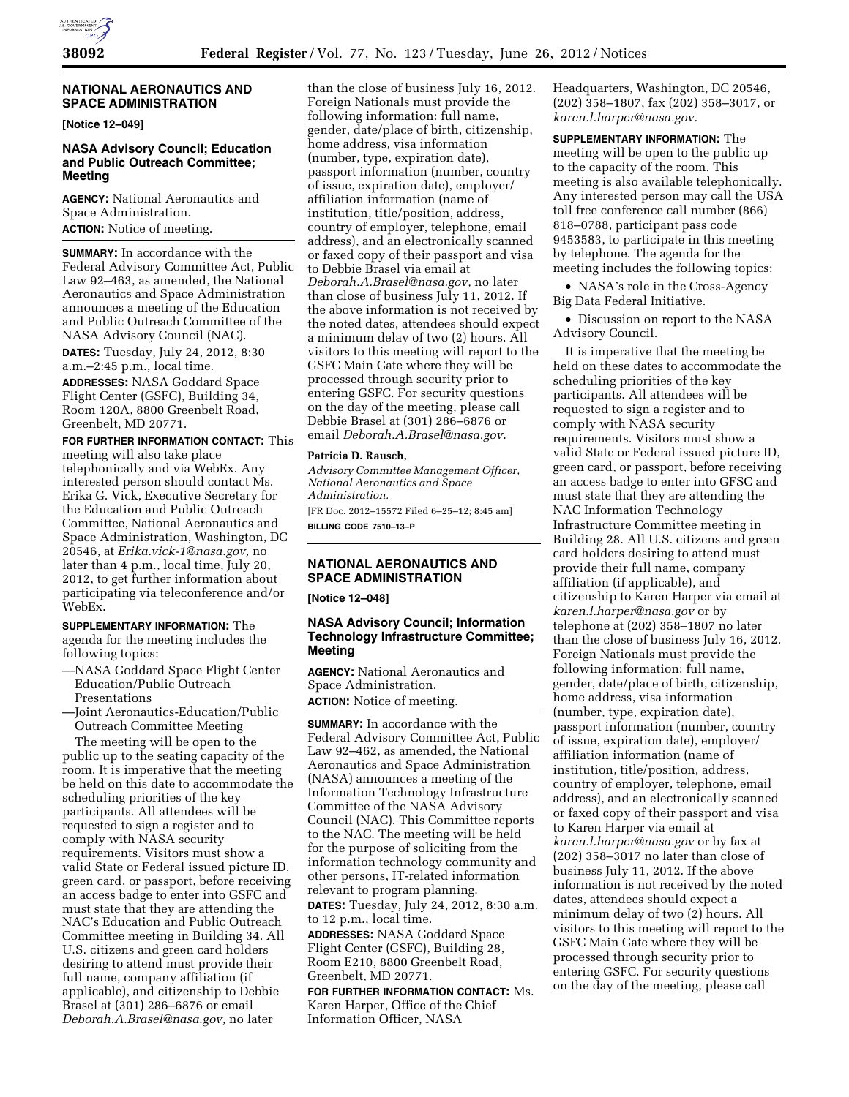

### **NATIONAL AERONAUTICS AND SPACE ADMINISTRATION**

**[Notice 12–049]** 

# **NASA Advisory Council; Education and Public Outreach Committee; Meeting**

**AGENCY:** National Aeronautics and Space Administration.

**ACTION:** Notice of meeting.

**SUMMARY:** In accordance with the Federal Advisory Committee Act, Public Law 92–463, as amended, the National Aeronautics and Space Administration announces a meeting of the Education and Public Outreach Committee of the NASA Advisory Council (NAC).

**DATES:** Tuesday, July 24, 2012, 8:30 a.m.–2:45 p.m., local time.

**ADDRESSES:** NASA Goddard Space Flight Center (GSFC), Building 34, Room 120A, 8800 Greenbelt Road, Greenbelt, MD 20771.

# **FOR FURTHER INFORMATION CONTACT:** This

meeting will also take place telephonically and via WebEx. Any interested person should contact Ms. Erika G. Vick, Executive Secretary for the Education and Public Outreach Committee, National Aeronautics and Space Administration, Washington, DC 20546, at *[Erika.vick-1@nasa.gov,](mailto:Erika.vick-1@nasa.gov)* no later than 4 p.m., local time, July 20, 2012, to get further information about participating via teleconference and/or WebEx.

**SUPPLEMENTARY INFORMATION:** The agenda for the meeting includes the following topics:

- —NASA Goddard Space Flight Center Education/Public Outreach Presentations
- —Joint Aeronautics-Education/Public Outreach Committee Meeting

The meeting will be open to the public up to the seating capacity of the room. It is imperative that the meeting be held on this date to accommodate the scheduling priorities of the key participants. All attendees will be requested to sign a register and to comply with NASA security requirements. Visitors must show a valid State or Federal issued picture ID, green card, or passport, before receiving an access badge to enter into GSFC and must state that they are attending the NAC's Education and Public Outreach Committee meeting in Building 34. All U.S. citizens and green card holders desiring to attend must provide their full name, company affiliation (if applicable), and citizenship to Debbie Brasel at (301) 286–6876 or email *[Deborah.A.Brasel@nasa.gov,](mailto:Deborah.A.Brasel@nasa.gov)* no later

than the close of business July 16, 2012. Foreign Nationals must provide the following information: full name, gender, date/place of birth, citizenship, home address, visa information (number, type, expiration date), passport information (number, country of issue, expiration date), employer/ affiliation information (name of institution, title/position, address, country of employer, telephone, email address), and an electronically scanned or faxed copy of their passport and visa to Debbie Brasel via email at *[Deborah.A.Brasel@nasa.gov,](mailto:Deborah.A.Brasel@nasa.gov)* no later than close of business July 11, 2012. If the above information is not received by the noted dates, attendees should expect a minimum delay of two (2) hours. All visitors to this meeting will report to the GSFC Main Gate where they will be processed through security prior to entering GSFC. For security questions on the day of the meeting, please call Debbie Brasel at (301) 286–6876 or email *[Deborah.A.Brasel@nasa.gov](mailto:Deborah.A.Brasel@nasa.gov)*.

#### **Patricia D. Rausch,**

*Advisory Committee Management Officer, National Aeronautics and Space Administration.*  [FR Doc. 2012–15572 Filed 6–25–12; 8:45 am] **BILLING CODE 7510–13–P** 

# **NATIONAL AERONAUTICS AND SPACE ADMINISTRATION**

**[Notice 12–048]** 

# **NASA Advisory Council; Information Technology Infrastructure Committee; Meeting**

**AGENCY:** National Aeronautics and Space Administration. **ACTION:** Notice of meeting.

**SUMMARY:** In accordance with the Federal Advisory Committee Act, Public Law 92–462, as amended, the National Aeronautics and Space Administration (NASA) announces a meeting of the Information Technology Infrastructure Committee of the NASA Advisory Council (NAC). This Committee reports to the NAC. The meeting will be held for the purpose of soliciting from the information technology community and other persons, IT-related information relevant to program planning. **DATES:** Tuesday, July 24, 2012, 8:30 a.m.

to 12 p.m., local time.

**ADDRESSES:** NASA Goddard Space Flight Center (GSFC), Building 28, Room E210, 8800 Greenbelt Road, Greenbelt, MD 20771.

**FOR FURTHER INFORMATION CONTACT:** Ms. Karen Harper, Office of the Chief Information Officer, NASA

Headquarters, Washington, DC 20546, (202) 358–1807, fax (202) 358–3017, or *[karen.l.harper@nasa.gov.](mailto:karen.l.harper@nasa.gov)* 

**SUPPLEMENTARY INFORMATION:** The meeting will be open to the public up to the capacity of the room. This meeting is also available telephonically. Any interested person may call the USA toll free conference call number (866) 818–0788, participant pass code 9453583, to participate in this meeting by telephone. The agenda for the meeting includes the following topics:

• NASA's role in the Cross-Agency Big Data Federal Initiative.

• Discussion on report to the NASA Advisory Council.

It is imperative that the meeting be held on these dates to accommodate the scheduling priorities of the key participants. All attendees will be requested to sign a register and to comply with NASA security requirements. Visitors must show a valid State or Federal issued picture ID, green card, or passport, before receiving an access badge to enter into GFSC and must state that they are attending the NAC Information Technology Infrastructure Committee meeting in Building 28. All U.S. citizens and green card holders desiring to attend must provide their full name, company affiliation (if applicable), and citizenship to Karen Harper via email at *[karen.l.harper@nasa.gov](mailto:karen.l.harper@nasa.gov)* or by telephone at (202) 358–1807 no later than the close of business July 16, 2012. Foreign Nationals must provide the following information: full name, gender, date/place of birth, citizenship, home address, visa information (number, type, expiration date), passport information (number, country of issue, expiration date), employer/ affiliation information (name of institution, title/position, address, country of employer, telephone, email address), and an electronically scanned or faxed copy of their passport and visa to Karen Harper via email at *[karen.l.harper@nasa.gov](mailto:karen.l.harper@nasa.gov)* or by fax at (202) 358–3017 no later than close of business July 11, 2012. If the above information is not received by the noted dates, attendees should expect a minimum delay of two (2) hours. All visitors to this meeting will report to the GSFC Main Gate where they will be processed through security prior to entering GSFC. For security questions on the day of the meeting, please call